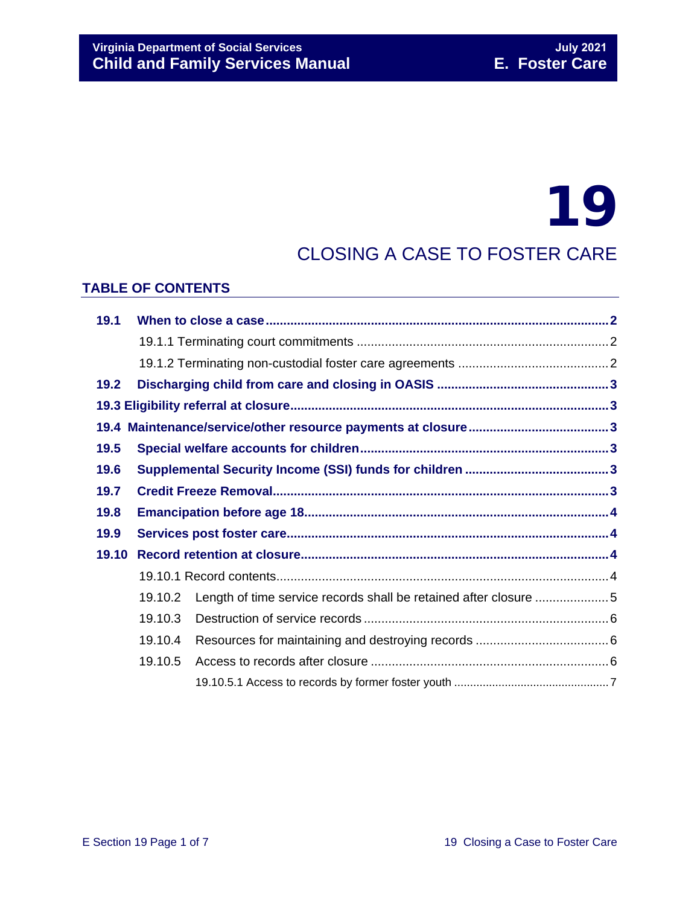# 19

# CLOSING A CASE TO FOSTER CARE

# **TABLE OF CONTENTS**

| 19.1  |         |                                                                  |  |  |
|-------|---------|------------------------------------------------------------------|--|--|
|       |         |                                                                  |  |  |
|       |         |                                                                  |  |  |
| 19.2  |         |                                                                  |  |  |
|       |         |                                                                  |  |  |
|       |         |                                                                  |  |  |
| 19.5  |         |                                                                  |  |  |
| 19.6  |         |                                                                  |  |  |
| 19.7  |         |                                                                  |  |  |
| 19.8  |         |                                                                  |  |  |
| 19.9  |         |                                                                  |  |  |
| 19.10 |         |                                                                  |  |  |
|       |         |                                                                  |  |  |
|       | 19.10.2 | Length of time service records shall be retained after closure 5 |  |  |
|       | 19.10.3 |                                                                  |  |  |
|       | 19.10.4 |                                                                  |  |  |
|       | 19.10.5 |                                                                  |  |  |
|       |         |                                                                  |  |  |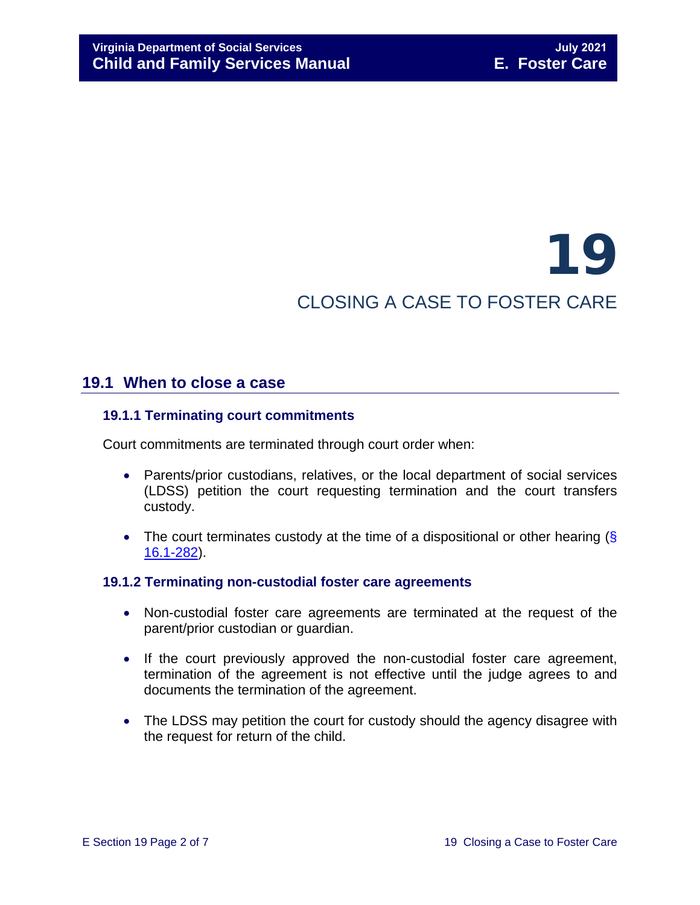# 19 CLOSING A CASE TO FOSTER CARE

# <span id="page-1-0"></span>**19.1 When to close a case**

# <span id="page-1-1"></span>**19.1.1 Terminating court commitments**

Court commitments are terminated through court order when:

- Parents/prior custodians, relatives, or the local department of social services (LDSS) petition the court requesting termination and the court transfers custody.
- The court terminates custody at the time of a dispositional or other hearing (§ [16.1-282\)](https://law.lis.virginia.gov/vacode/16.1-282/).

#### <span id="page-1-2"></span>**19.1.2 Terminating non-custodial foster care agreements**

- Non-custodial foster care agreements are terminated at the request of the parent/prior custodian or guardian.
- If the court previously approved the non-custodial foster care agreement, termination of the agreement is not effective until the judge agrees to and documents the termination of the agreement.
- The LDSS may petition the court for custody should the agency disagree with the request for return of the child.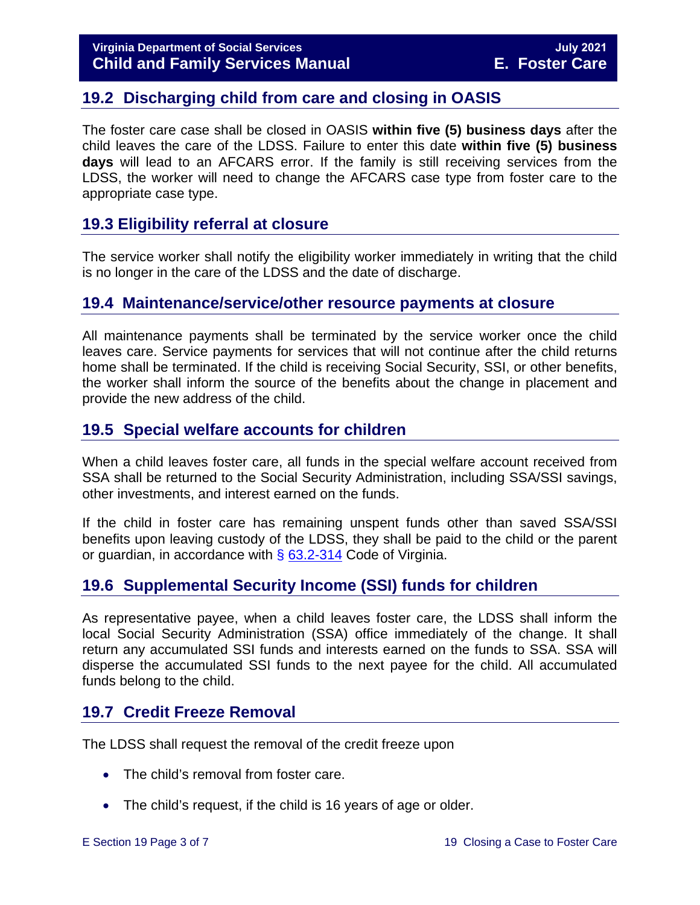# <span id="page-2-0"></span>**19.2 Discharging child from care and closing in OASIS**

The foster care case shall be closed in OASIS **within five (5) business days** after the child leaves the care of the LDSS. Failure to enter this date **within five (5) business days** will lead to an AFCARS error. If the family is still receiving services from the LDSS, the worker will need to change the AFCARS case type from foster care to the appropriate case type.

# <span id="page-2-1"></span>**19.3 Eligibility referral at closure**

The service worker shall notify the eligibility worker immediately in writing that the child is no longer in the care of the LDSS and the date of discharge.

# <span id="page-2-2"></span>**19.4 Maintenance/service/other resource payments at closure**

All maintenance payments shall be terminated by the service worker once the child leaves care. Service payments for services that will not continue after the child returns home shall be terminated. If the child is receiving Social Security, SSI, or other benefits, the worker shall inform the source of the benefits about the change in placement and provide the new address of the child.

# <span id="page-2-3"></span>**19.5 Special welfare accounts for children**

When a child leaves foster care, all funds in the special welfare account received from SSA shall be returned to the Social Security Administration, including SSA/SSI savings, other investments, and interest earned on the funds.

If the child in foster care has remaining unspent funds other than saved SSA/SSI benefits upon leaving custody of the LDSS, they shall be paid to the child or the parent or guardian, in accordance with  $\S$  [63.2-314](https://law.lis.virginia.gov/vacode/63.2-314/) Code of Virginia.

# <span id="page-2-4"></span>**19.6 Supplemental Security Income (SSI) funds for children**

As representative payee, when a child leaves foster care, the LDSS shall inform the local Social Security Administration (SSA) office immediately of the change. It shall return any accumulated SSI funds and interests earned on the funds to SSA. SSA will disperse the accumulated SSI funds to the next payee for the child. All accumulated funds belong to the child.

# <span id="page-2-5"></span>**19.7 Credit Freeze Removal**

The LDSS shall request the removal of the credit freeze upon

- The child's removal from foster care.
- The child's request, if the child is 16 years of age or older.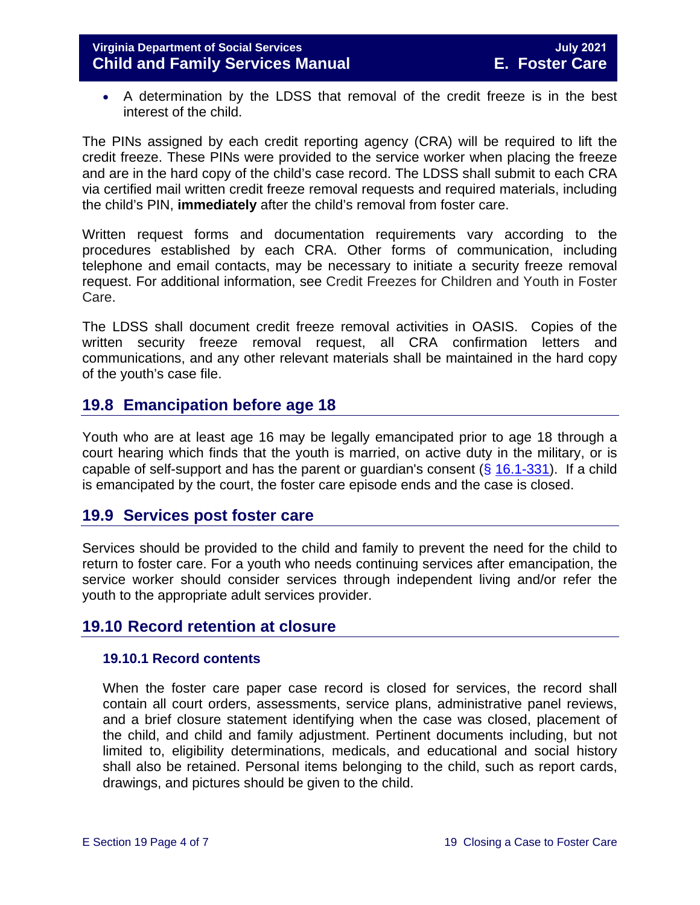• A determination by the LDSS that removal of the credit freeze is in the best interest of the child.

The PINs assigned by each credit reporting agency (CRA) will be required to lift the credit freeze. These PINs were provided to the service worker when placing the freeze and are in the hard copy of the child's case record. The LDSS shall submit to each CRA via certified mail written credit freeze removal requests and required materials, including the child's PIN, **immediately** after the child's removal from foster care.

Written request forms and documentation requirements vary according to the procedures established by each CRA. Other forms of communication, including telephone and email contacts, may be necessary to initiate a security freeze removal request. For additional information, see Credit Freezes for Children and Youth in Foster Care.

The LDSS shall document credit freeze removal activities in OASIS. Copies of the written security freeze removal request, all CRA confirmation letters and communications, and any other relevant materials shall be maintained in the hard copy of the youth's case file.

# <span id="page-3-0"></span>**19.8 Emancipation before age 18**

Youth who are at least age 16 may be legally emancipated prior to age 18 through a court hearing which finds that the youth is married, on active duty in the military, or is capable of self-support and has the parent or guardian's consent  $(\S$  [16.1-331\)](https://law.lis.virginia.gov/vacode/16.1-331/). If a child is emancipated by the court, the foster care episode ends and the case is closed.

# <span id="page-3-1"></span>**19.9 Services post foster care**

Services should be provided to the child and family to prevent the need for the child to return to foster care. For a youth who needs continuing services after emancipation, the service worker should consider services through independent living and/or refer the youth to the appropriate adult services provider.

# **19.10 Record retention at closure**

#### <span id="page-3-3"></span><span id="page-3-2"></span>**19.10.1 Record contents**

When the foster care paper case record is closed for services, the record shall contain all court orders, assessments, service plans, administrative panel reviews, and a brief closure statement identifying when the case was closed, placement of the child, and child and family adjustment. Pertinent documents including, but not limited to, eligibility determinations, medicals, and educational and social history shall also be retained. Personal items belonging to the child, such as report cards, drawings, and pictures should be given to the child.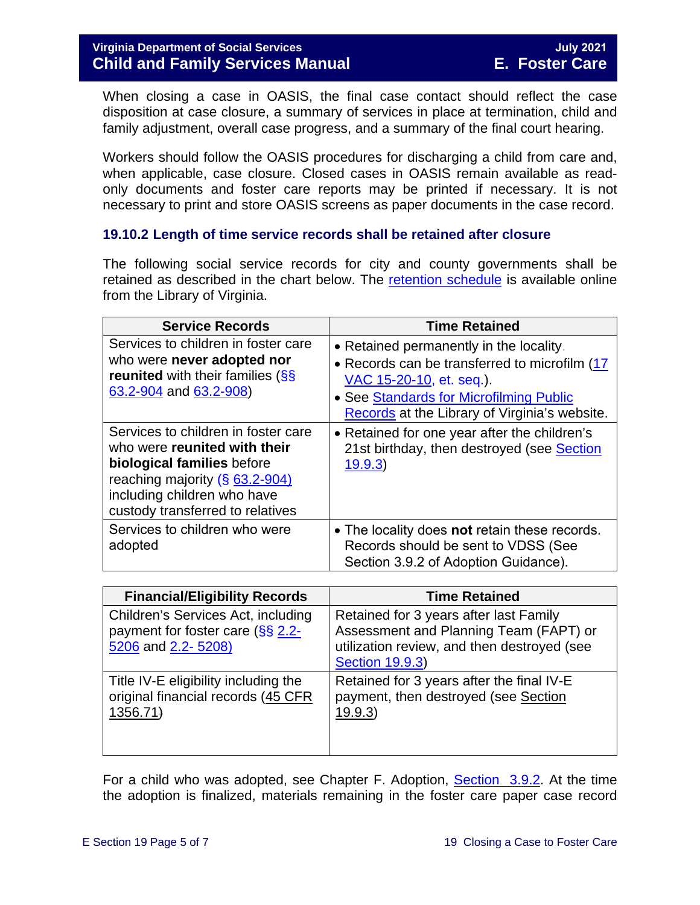When closing a case in OASIS, the final case contact should reflect the case disposition at case closure, a summary of services in place at termination, child and family adjustment, overall case progress, and a summary of the final court hearing.

Workers should follow the OASIS procedures for discharging a child from care and, when applicable, case closure. Closed cases in OASIS remain available as readonly documents and foster care reports may be printed if necessary. It is not necessary to print and store OASIS screens as paper documents in the case record.

# <span id="page-4-0"></span>**19.10.2 Length of time service records shall be retained after closure**

The following social service records for city and county governments shall be retained as described in the chart below. The [retention schedule](http://www.lva.virginia.gov/agencies/records/sched_local/GS-15.pdf) is available online from the Library of Virginia.

| <b>Service Records</b>                                                                                                                                                                                 | <b>Time Retained</b>                                                                                                                                                                                             |
|--------------------------------------------------------------------------------------------------------------------------------------------------------------------------------------------------------|------------------------------------------------------------------------------------------------------------------------------------------------------------------------------------------------------------------|
| Services to children in foster care<br>who were never adopted nor<br><b>reunited</b> with their families (SS<br>63.2-904 and 63.2-908)                                                                 | • Retained permanently in the locality.<br>• Records can be transferred to microfilm (17<br>VAC 15-20-10, et. seq.).<br>• See Standards for Microfilming Public<br>Records at the Library of Virginia's website. |
| Services to children in foster care<br>who were reunited with their<br>biological families before<br>reaching majority (§ 63.2-904)<br>including children who have<br>custody transferred to relatives | • Retained for one year after the children's<br>21st birthday, then destroyed (see Section<br>19.9.3                                                                                                             |
| Services to children who were<br>adopted                                                                                                                                                               | • The locality does not retain these records.<br>Records should be sent to VDSS (See<br>Section 3.9.2 of Adoption Guidance).                                                                                     |

| <b>Financial/Eligibility Records</b>                                                         | <b>Time Retained</b>                                                                                                                                      |
|----------------------------------------------------------------------------------------------|-----------------------------------------------------------------------------------------------------------------------------------------------------------|
| Children's Services Act, including<br>payment for foster care (§§ 2.2-<br>5206 and 2.2-5208) | Retained for 3 years after last Family<br>Assessment and Planning Team (FAPT) or<br>utilization review, and then destroyed (see<br><b>Section 19.9.3)</b> |
| Title IV-E eligibility including the<br>original financial records (45 CFR<br>1356.71        | Retained for 3 years after the final IV-E<br>payment, then destroyed (see Section<br>19.9.3)                                                              |

For a child who was adopted, see Chapter F. Adoption, [Section 3.9.2.](https://fusion.dss.virginia.gov/Portals/%5Bdfs%5D/Files/Adoption/Guidance/2020/section_3_finalizing%20the%20adoption-July%202020.pdf#page=29) At the time the adoption is finalized, materials remaining in the foster care paper case record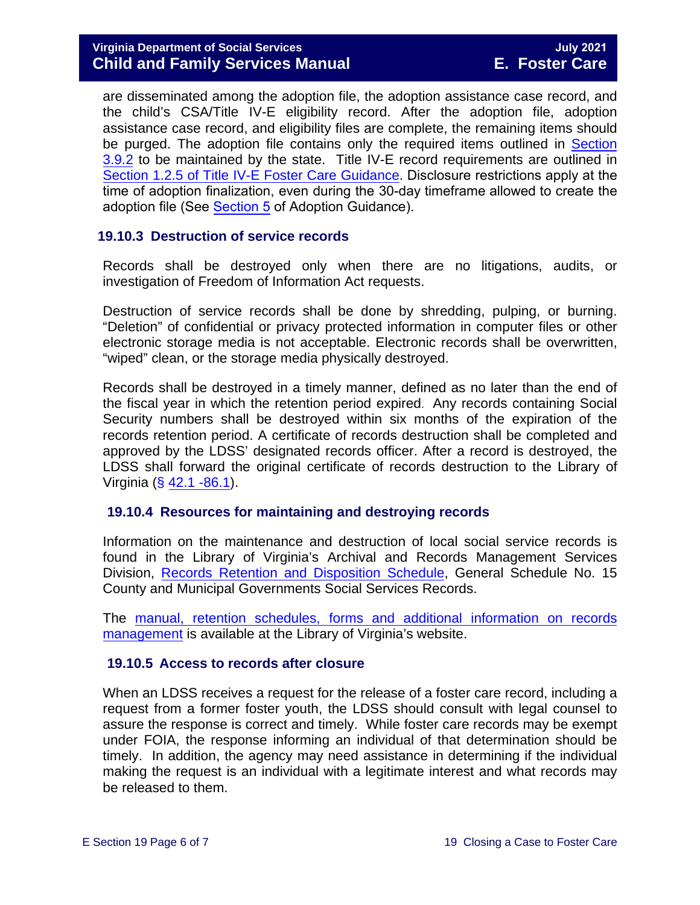are disseminated among the adoption file, the adoption assistance case record, and the child's CSA/Title IV-E eligibility record. After the adoption file, adoption assistance case record, and eligibility files are complete, the remaining items should be purged. The adoption file contains only the required items outlined in Section [3.9.2](https://fusion.dss.virginia.gov/Portals/%5Bdfs%5D/Files/Adoption/Guidance/2020/section_3_finalizing%20the%20adoption-July%202020.pdf#page=29) to be maintained by the state. Title IV-E record requirements are outlined in [Section 1.2.5 of Title IV-E Foster Care Guidance.](https://fusion.dss.virginia.gov/dfs/DFS-Home/Title-IV-E/Title-IV-E-Guidance) Disclosure restrictions apply at the time of adoption finalization, even during the 30-day timeframe allowed to create the adoption file (See [Section 5](https://fusion.dss.virginia.gov/Portals/%5Bdfs%5D/Files/Adoption/Guidance/2020/section_5_Adoption%20Disclosure-July%202020.pdf) of Adoption Guidance).

# <span id="page-5-3"></span><span id="page-5-0"></span>**19.10.3 Destruction of service records**

Records shall be destroyed only when there are no litigations, audits, or investigation of Freedom of Information Act requests.

Destruction of service records shall be done by shredding, pulping, or burning. "Deletion" of confidential or privacy protected information in computer files or other electronic storage media is not acceptable. Electronic records shall be overwritten, "wiped" clean, or the storage media physically destroyed.

Records shall be destroyed in a timely manner, defined as no later than the end of the fiscal year in which the retention period expired. Any records containing Social Security numbers shall be destroyed within six months of the expiration of the records retention period. A certificate of records destruction shall be completed and approved by the LDSS' designated records officer. After a record is destroyed, the LDSS shall forward the original certificate of records destruction to the Library of Virginia ( $\S$  [42.1 -86.1\)](https://law.lis.virginia.gov/vacode/42.1-86.1/).

#### <span id="page-5-1"></span>**19.10.4 Resources for maintaining and destroying records**

Information on the maintenance and destruction of local social service records is found in the Library of Virginia's Archival and Records Management Services Division, [Records Retention and Disposition Schedule,](http://www.lva.virginia.gov/agencies/records/sched_local/GS-15.pdf) General Schedule No. 15 County and Municipal Governments Social Services Records.

The manual, retention schedules, forms [and additional information on records](http://www.lva.virginia.gov/agencies/records/) [management](http://www.lva.virginia.gov/agencies/records/) is available at the Library of Virginia's website.

#### <span id="page-5-2"></span>**19.10.5 Access to records after closure**

When an LDSS receives a request for the release of a foster care record, including a request from a former foster youth, the LDSS should consult with legal counsel to assure the response is correct and timely. While foster care records may be exempt under FOIA, the response informing an individual of that determination should be timely. In addition, the agency may need assistance in determining if the individual making the request is an individual with a legitimate interest and what records may be released to them.